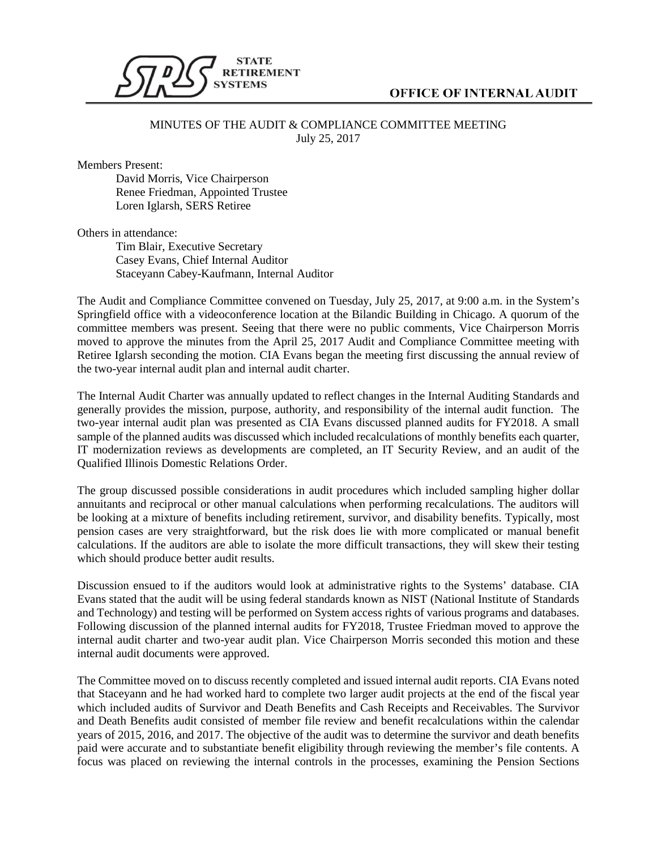

## **OFFICE OF INTERNAL AUDIT**

## MINUTES OF THE AUDIT & COMPLIANCE COMMITTEE MEETING July 25, 2017

Members Present:

David Morris, Vice Chairperson Renee Friedman, Appointed Trustee Loren Iglarsh, SERS Retiree

Others in attendance:

Tim Blair, Executive Secretary Casey Evans, Chief Internal Auditor Staceyann Cabey-Kaufmann, Internal Auditor

The Audit and Compliance Committee convened on Tuesday, July 25, 2017, at 9:00 a.m. in the System's Springfield office with a videoconference location at the Bilandic Building in Chicago. A quorum of the committee members was present. Seeing that there were no public comments, Vice Chairperson Morris moved to approve the minutes from the April 25, 2017 Audit and Compliance Committee meeting with Retiree Iglarsh seconding the motion. CIA Evans began the meeting first discussing the annual review of the two-year internal audit plan and internal audit charter.

The Internal Audit Charter was annually updated to reflect changes in the Internal Auditing Standards and generally provides the mission, purpose, authority, and responsibility of the internal audit function. The two-year internal audit plan was presented as CIA Evans discussed planned audits for FY2018. A small sample of the planned audits was discussed which included recalculations of monthly benefits each quarter, IT modernization reviews as developments are completed, an IT Security Review, and an audit of the Qualified Illinois Domestic Relations Order.

The group discussed possible considerations in audit procedures which included sampling higher dollar annuitants and reciprocal or other manual calculations when performing recalculations. The auditors will be looking at a mixture of benefits including retirement, survivor, and disability benefits. Typically, most pension cases are very straightforward, but the risk does lie with more complicated or manual benefit calculations. If the auditors are able to isolate the more difficult transactions, they will skew their testing which should produce better audit results.

Discussion ensued to if the auditors would look at administrative rights to the Systems' database. CIA Evans stated that the audit will be using federal standards known as NIST (National Institute of Standards and Technology) and testing will be performed on System access rights of various programs and databases. Following discussion of the planned internal audits for FY2018, Trustee Friedman moved to approve the internal audit charter and two-year audit plan. Vice Chairperson Morris seconded this motion and these internal audit documents were approved.

The Committee moved on to discuss recently completed and issued internal audit reports. CIA Evans noted that Staceyann and he had worked hard to complete two larger audit projects at the end of the fiscal year which included audits of Survivor and Death Benefits and Cash Receipts and Receivables. The Survivor and Death Benefits audit consisted of member file review and benefit recalculations within the calendar years of 2015, 2016, and 2017. The objective of the audit was to determine the survivor and death benefits paid were accurate and to substantiate benefit eligibility through reviewing the member's file contents. A focus was placed on reviewing the internal controls in the processes, examining the Pension Sections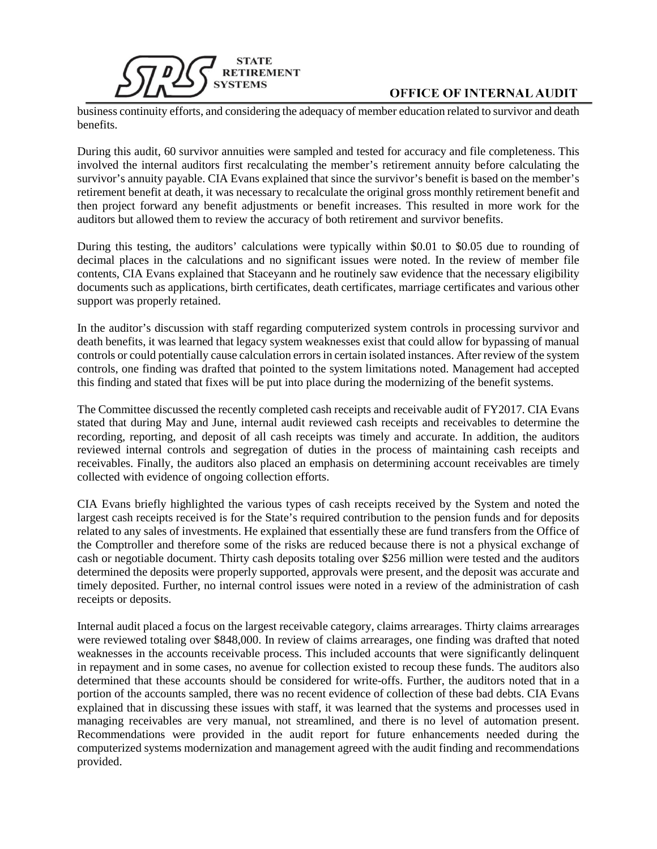

## **OFFICE OF INTERNAL AUDIT**

business continuity efforts, and considering the adequacy of member education related to survivor and death benefits.

During this audit, 60 survivor annuities were sampled and tested for accuracy and file completeness. This involved the internal auditors first recalculating the member's retirement annuity before calculating the survivor's annuity payable. CIA Evans explained that since the survivor's benefit is based on the member's retirement benefit at death, it was necessary to recalculate the original gross monthly retirement benefit and then project forward any benefit adjustments or benefit increases. This resulted in more work for the auditors but allowed them to review the accuracy of both retirement and survivor benefits.

During this testing, the auditors' calculations were typically within \$0.01 to \$0.05 due to rounding of decimal places in the calculations and no significant issues were noted. In the review of member file contents, CIA Evans explained that Staceyann and he routinely saw evidence that the necessary eligibility documents such as applications, birth certificates, death certificates, marriage certificates and various other support was properly retained.

In the auditor's discussion with staff regarding computerized system controls in processing survivor and death benefits, it was learned that legacy system weaknesses exist that could allow for bypassing of manual controls or could potentially cause calculation errors in certain isolated instances. After review of the system controls, one finding was drafted that pointed to the system limitations noted. Management had accepted this finding and stated that fixes will be put into place during the modernizing of the benefit systems.

The Committee discussed the recently completed cash receipts and receivable audit of FY2017. CIA Evans stated that during May and June, internal audit reviewed cash receipts and receivables to determine the recording, reporting, and deposit of all cash receipts was timely and accurate. In addition, the auditors reviewed internal controls and segregation of duties in the process of maintaining cash receipts and receivables. Finally, the auditors also placed an emphasis on determining account receivables are timely collected with evidence of ongoing collection efforts.

CIA Evans briefly highlighted the various types of cash receipts received by the System and noted the largest cash receipts received is for the State's required contribution to the pension funds and for deposits related to any sales of investments. He explained that essentially these are fund transfers from the Office of the Comptroller and therefore some of the risks are reduced because there is not a physical exchange of cash or negotiable document. Thirty cash deposits totaling over \$256 million were tested and the auditors determined the deposits were properly supported, approvals were present, and the deposit was accurate and timely deposited. Further, no internal control issues were noted in a review of the administration of cash receipts or deposits.

Internal audit placed a focus on the largest receivable category, claims arrearages. Thirty claims arrearages were reviewed totaling over \$848,000. In review of claims arrearages, one finding was drafted that noted weaknesses in the accounts receivable process. This included accounts that were significantly delinquent in repayment and in some cases, no avenue for collection existed to recoup these funds. The auditors also determined that these accounts should be considered for write-offs. Further, the auditors noted that in a portion of the accounts sampled, there was no recent evidence of collection of these bad debts. CIA Evans explained that in discussing these issues with staff, it was learned that the systems and processes used in managing receivables are very manual, not streamlined, and there is no level of automation present. Recommendations were provided in the audit report for future enhancements needed during the computerized systems modernization and management agreed with the audit finding and recommendations provided.